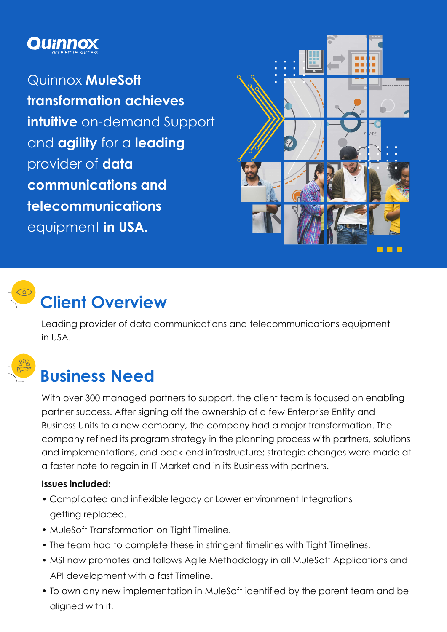## **Quinnox**

Quinnox **MuleSoft transformation achieves intuitive** on-demand Support and **agility** for a **leading**  provider of **data communications and telecommunications**  equipment **in USA.**





## **Client Overview**

Leading provider of data communications and telecommunications equipment in USA.



# **Business Need**

With over 300 managed partners to support, the client team is focused on enabling partner success. After signing off the ownership of a few Enterprise Entity and Business Units to a new company, the company had a major transformation. The company refined its program strategy in the planning process with partners, solutions and implementations, and back-end infrastructure; strategic changes were made at a faster note to regain in IT Market and in its Business with partners.

#### **Issues included:**

- Complicated and inflexible legacy or Lower environment Integrations getting replaced.
- MuleSoft Transformation on Tight Timeline.
- The team had to complete these in stringent timelines with Tight Timelines.
- MSI now promotes and follows Agile Methodology in all MuleSoft Applications and API development with a fast Timeline.
- To own any new implementation in MuleSoft identified by the parent team and be aligned with it.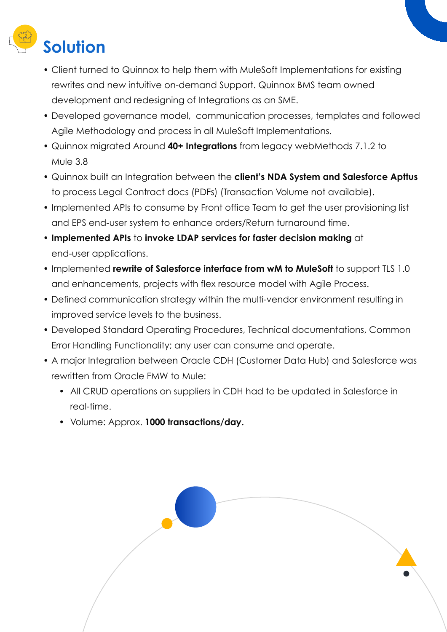

- Client turned to Quinnox to help them with MuleSoft Implementations for existing rewrites and new intuitive on-demand Support. Quinnox BMS team owned development and redesigning of Integrations as an SME.
- Developed governance model, communication processes, templates and followed Agile Methodology and process in all MuleSoft Implementations.
- Quinnox migrated Around **40+ Integrations** from legacy webMethods 7.1.2 to Mule 3.8
- Quinnox built an Integration between the **client's NDA System and Salesforce Apttus**  to process Legal Contract docs (PDFs) (Transaction Volume not available).
- Implemented APIs to consume by Front office Team to get the user provisioning list and EPS end-user system to enhance orders/Return turnaround time.
- **Implemented APIs** to **invoke LDAP services for faster decision making** at end-user applications.
- Implemented **rewrite of Salesforce interface from wM to MuleSoft** to support TLS 1.0 and enhancements, projects with flex resource model with Agile Process.
- Defined communication strategy within the multi-vendor environment resulting in improved service levels to the business.
- Developed Standard Operating Procedures, Technical documentations, Common Error Handling Functionality; any user can consume and operate.
- A major Integration between Oracle CDH (Customer Data Hub) and Salesforce was rewritten from Oracle FMW to Mule:
	- All CRUD operations on suppliers in CDH had to be updated in Salesforce in real-time.
	- Volume: Approx. **1000 transactions/day.**